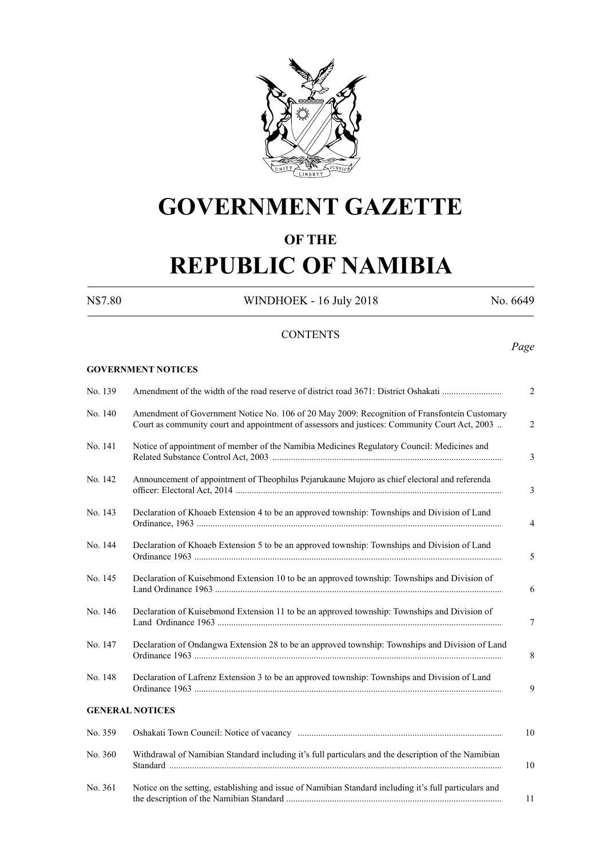

# **GOVERNMENT GAZETTE**

### **OF THE**

# **REPUBLIC OF NAMIBIA**

**GOVERNMENT NOTICES**

N\$7.80 WINDHOEK - 16 July 2018 No. 6649

### **CONTENTS**

*Page*

| No. 139 | Amendment of the width of the road reserve of district road 3671: District Oshakati                                                                                                           | $\overline{2}$ |
|---------|-----------------------------------------------------------------------------------------------------------------------------------------------------------------------------------------------|----------------|
| No. 140 | Amendment of Government Notice No. 106 of 20 May 2009: Recognition of Fransfontein Customary<br>Court as community court and appointment of assessors and justices: Community Court Act, 2003 | $\overline{2}$ |
| No. 141 | Notice of appointment of member of the Namibia Medicines Regulatory Council: Medicines and                                                                                                    | 3              |
| No. 142 | Announcement of appointment of Theophilus Pejarukaune Mujoro as chief electoral and referenda                                                                                                 | 3              |
| No. 143 | Declaration of Khoaeb Extension 4 to be an approved township: Townships and Division of Land                                                                                                  | 4              |
| No. 144 | Declaration of Khoaeb Extension 5 to be an approved township: Townships and Division of Land                                                                                                  | 5              |
| No. 145 | Declaration of Kuisebmond Extension 10 to be an approved township: Townships and Division of                                                                                                  | 6              |
| No. 146 | Declaration of Kuisebmond Extension 11 to be an approved township: Townships and Division of                                                                                                  | 7              |
| No. 147 | Declaration of Ondangwa Extension 28 to be an approved township: Townships and Division of Land                                                                                               | 8              |
| No. 148 | Declaration of Lafrenz Extension 3 to be an approved township: Townships and Division of Land                                                                                                 | 9              |
|         | <b>GENERAL NOTICES</b>                                                                                                                                                                        |                |
| No. 359 |                                                                                                                                                                                               | 10             |
| No. 360 | Withdrawal of Namibian Standard including it's full particulars and the description of the Namibian                                                                                           | 10             |
| No. 361 | Notice on the setting, establishing and issue of Namibian Standard including it's full particulars and                                                                                        | 11             |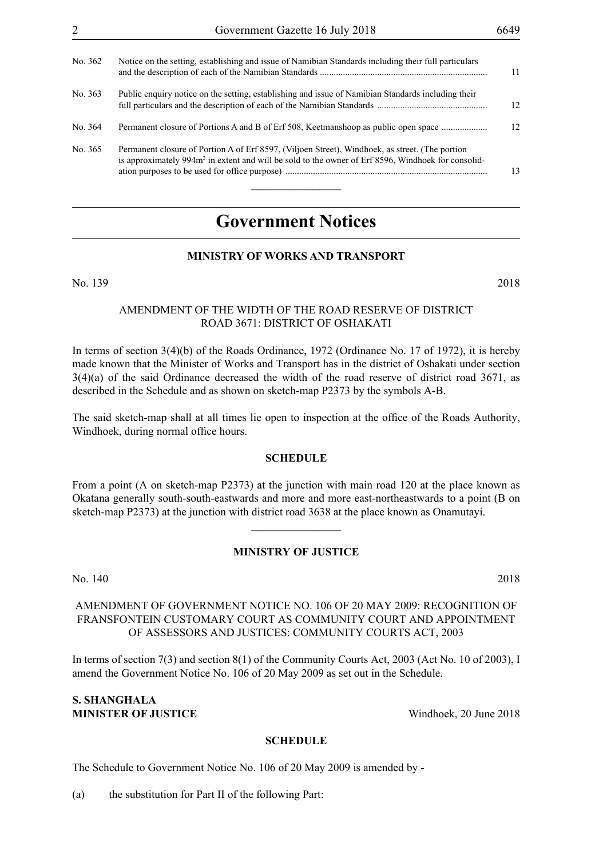| No. 362 | Notice on the setting, establishing and issue of Namibian Standards including their full particulars                                                                                                              | 11  |
|---------|-------------------------------------------------------------------------------------------------------------------------------------------------------------------------------------------------------------------|-----|
| No. 363 | Public enquiry notice on the setting, establishing and issue of Namibian Standards including their                                                                                                                | 12. |
| No. 364 | Permanent closure of Portions A and B of Erf 508, Keetmanshoop as public open space                                                                                                                               | 12. |
| No. 365 | Permanent closure of Portion A of Erf 8597, (Viljoen Street), Windhoek, as street. (The portion<br>is approximately 994m <sup>2</sup> in extent and will be sold to the owner of Erf 8596, Windhoek for consolid- | 13  |

## **Government Notices**

#### **MINISTRY OF WORKS AND TRANSPORT**

No. 139 2018

#### AMENDMENT OF THE WIDTH OF THE ROAD RESERVE OF DISTRICT ROAD 3671: DISTRICT OF OSHAKATI

In terms of section 3(4)(b) of the Roads Ordinance, 1972 (Ordinance No. 17 of 1972), it is hereby made known that the Minister of Works and Transport has in the district of Oshakati under section 3(4)(a) of the said Ordinance decreased the width of the road reserve of district road 3671, as described in the Schedule and as shown on sketch-map P2373 by the symbols A-B.

The said sketch-map shall at all times lie open to inspection at the office of the Roads Authority, Windhoek, during normal office hours.

#### **SCHEDULE**

From a point (A on sketch-map P2373) at the junction with main road 120 at the place known as Okatana generally south-south-eastwards and more and more east-northeastwards to a point (B on sketch-map P2373) at the junction with district road 3638 at the place known as Onamutayi.

#### **MINISTRY OF JUSTICE**

 $\frac{1}{2}$ 

No. 140 2018

#### AMENDMENT OF GOVERNMENT NOTICE NO. 106 OF 20 MAY 2009: RECOGNITION OF FRANSFONTEIN CUSTOMARY COURT AS COMMUNITY COURT AND APPOINTMENT OF ASSESSORS AND JUSTICES: COMMUNITY COURTS ACT, 2003

In terms of section 7(3) and section 8(1) of the Community Courts Act, 2003 (Act No. 10 of 2003), I amend the Government Notice No. 106 of 20 May 2009 as set out in the Schedule.

#### **S. SHANGHALA MINISTER OF JUSTICE** Windhoek, 20 June 2018

#### **SCHEDULE**

The Schedule to Government Notice No. 106 of 20 May 2009 is amended by -

(a) the substitution for Part II of the following Part: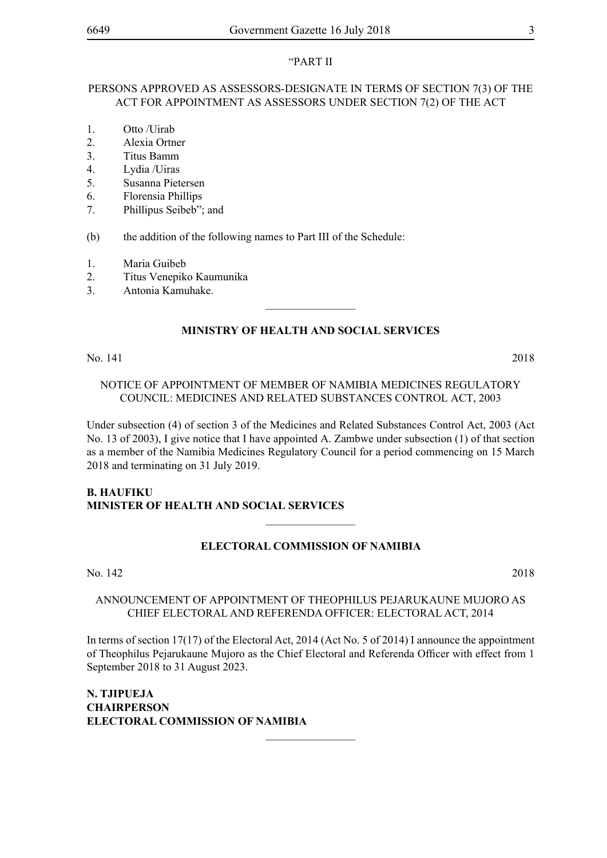#### "PART II

#### PERSONS APPROVED AS ASSESSORS-DESIGNATE IN TERMS OF SECTION 7(3) OF THE ACT FOR APPOINTMENT AS ASSESSORS UNDER SECTION 7(2) OF THE ACT

- 1. Otto /Uirab
- 2. Alexia Ortner
- 3. Titus Bamm
- 4. Lydia /Uiras
- 5. Susanna Pietersen
- 6. Florensia Phillips
- 7. Phillipus Seibeb"; and
- (b) the addition of the following names to Part III of the Schedule:
- 1. Maria Guibeb
- 2. Titus Venepiko Kaumunika
- 3. Antonia Kamuhake.

### **MINISTRY OF HEALTH AND SOCIAL SERVICES**

 $\overline{\phantom{a}}$  , where  $\overline{\phantom{a}}$ 

No. 141 2018

#### NOTICE OF APPOINTMENT OF MEMBER OF NAMIBIA MEDICINES REGULATORY COUNCIL: MEDICINES AND RELATED SUBSTANCES CONTROL ACT, 2003

Under subsection (4) of section 3 of the Medicines and Related Substances Control Act, 2003 (Act No. 13 of 2003), I give notice that I have appointed A. Zambwe under subsection (1) of that section as a member of the Namibia Medicines Regulatory Council for a period commencing on 15 March 2018 and terminating on 31 July 2019.

#### **B. HAUFIKU Minister of Health and Social Services**

#### **ELECTORAL COMMISSION OF NAMIBIA**

 $\frac{1}{2}$ 

No. 142 2018

#### ANNOUNCEMENT OF APPOINTMENT OF THEOPHILUS PEJARUKAUNE MUJORO AS CHIEF ELECTORAL AND REFERENDA OFFICER: ELECTORAL ACT, 2014

In terms of section 17(17) of the Electoral Act, 2014 (Act No. 5 of 2014) I announce the appointment of Theophilus Pejarukaune Mujoro as the Chief Electoral and Referenda Officer with effect from 1 September 2018 to 31 August 2023.

 $\overline{\phantom{a}}$  , where  $\overline{\phantom{a}}$ 

**N. TJIPUEJA CHAIRPERSON ELECTORAL COMMISSION OF NAMIBIA**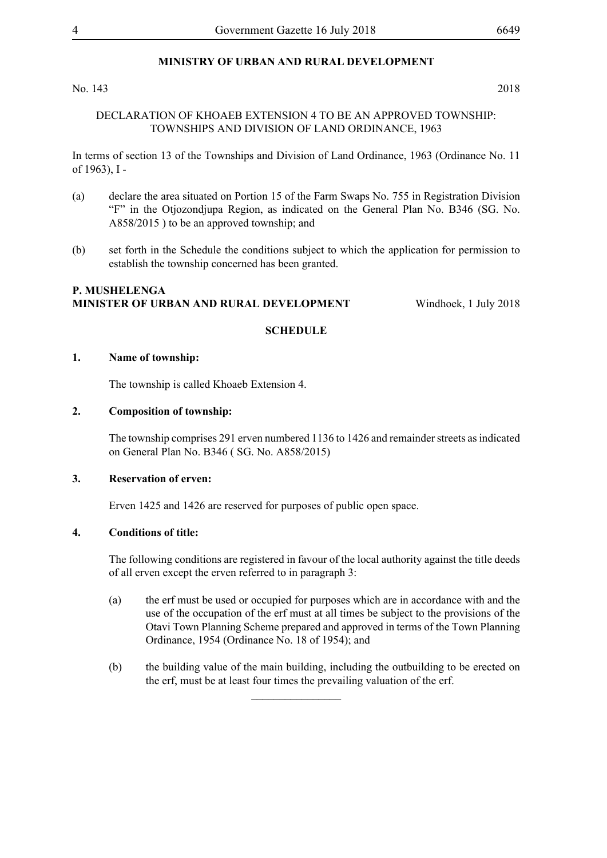No. 143 2018

#### DECLARATION OF KHOAEB EXTENSION 4 TO BE AN APPROVED TOWNSHIP: TOWNSHIPS AND DIVISION OF LAND ORDINANCE, 1963

In terms of section 13 of the Townships and Division of Land Ordinance, 1963 (Ordinance No. 11 of 1963), I -

- (a) declare the area situated on Portion 15 of the Farm Swaps No. 755 in Registration Division "F" in the Otjozondjupa Region, as indicated on the General Plan No. B346 (SG. No. A858/2015 ) to be an approved township; and
- (b) set forth in the Schedule the conditions subject to which the application for permission to establish the township concerned has been granted.

#### **P. MUSHELENGA MINISTER OF URBAN AND RURAL DEVELOPMENT** Windhoek, 1 July 2018

#### **SCHEDULE**

#### **1. Name of township:**

The township is called Khoaeb Extension 4.

#### **2. Composition of township:**

The township comprises 291 erven numbered 1136 to 1426 and remainder streets as indicated on General Plan No. B346 ( SG. No. A858/2015)

#### **3. Reservation of erven:**

Erven 1425 and 1426 are reserved for purposes of public open space.

#### **4. Conditions of title:**

The following conditions are registered in favour of the local authority against the title deeds of all erven except the erven referred to in paragraph 3:

- (a) the erf must be used or occupied for purposes which are in accordance with and the use of the occupation of the erf must at all times be subject to the provisions of the Otavi Town Planning Scheme prepared and approved in terms of the Town Planning Ordinance, 1954 (Ordinance No. 18 of 1954); and
- (b) the building value of the main building, including the outbuilding to be erected on the erf, must be at least four times the prevailing valuation of the erf.

 $\overline{\phantom{a}}$  , where  $\overline{\phantom{a}}$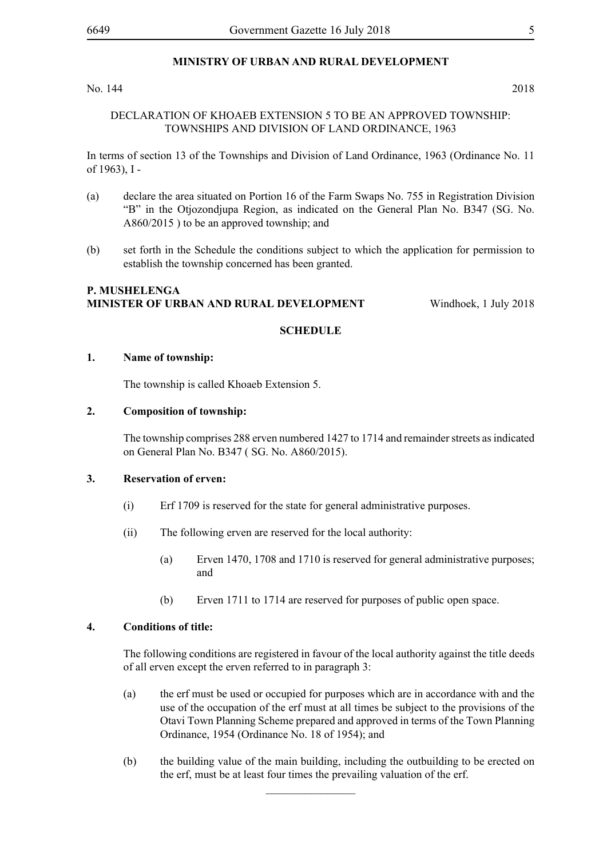#### No. 144 2018

#### DECLARATION OF KHOAEB EXTENSION 5 TO BE AN APPROVED TOWNSHIP: TOWNSHIPS AND DIVISION OF LAND ORDINANCE, 1963

In terms of section 13 of the Townships and Division of Land Ordinance, 1963 (Ordinance No. 11 of 1963), I -

- (a) declare the area situated on Portion 16 of the Farm Swaps No. 755 in Registration Division "B" in the Otjozondjupa Region, as indicated on the General Plan No. B347 (SG. No. A860/2015 ) to be an approved township; and
- (b) set forth in the Schedule the conditions subject to which the application for permission to establish the township concerned has been granted.

#### **P. MUSHELENGA MINISTER OF URBAN AND RURAL DEVELOPMENT** Windhoek, 1 July 2018

#### **SCHEDULE**

#### **1. Name of township:**

The township is called Khoaeb Extension 5.

#### **2. Composition of township:**

The township comprises 288 erven numbered 1427 to 1714 and remainder streets as indicated on General Plan No. B347 ( SG. No. A860/2015).

#### **3. Reservation of erven:**

- (i) Erf 1709 is reserved for the state for general administrative purposes.
- (ii) The following erven are reserved for the local authority:
	- (a) Erven 1470, 1708 and 1710 is reserved for general administrative purposes; and
	- (b) Erven 1711 to 1714 are reserved for purposes of public open space.

#### **4. Conditions of title:**

The following conditions are registered in favour of the local authority against the title deeds of all erven except the erven referred to in paragraph 3:

- (a) the erf must be used or occupied for purposes which are in accordance with and the use of the occupation of the erf must at all times be subject to the provisions of the Otavi Town Planning Scheme prepared and approved in terms of the Town Planning Ordinance, 1954 (Ordinance No. 18 of 1954); and
- (b) the building value of the main building, including the outbuilding to be erected on the erf, must be at least four times the prevailing valuation of the erf.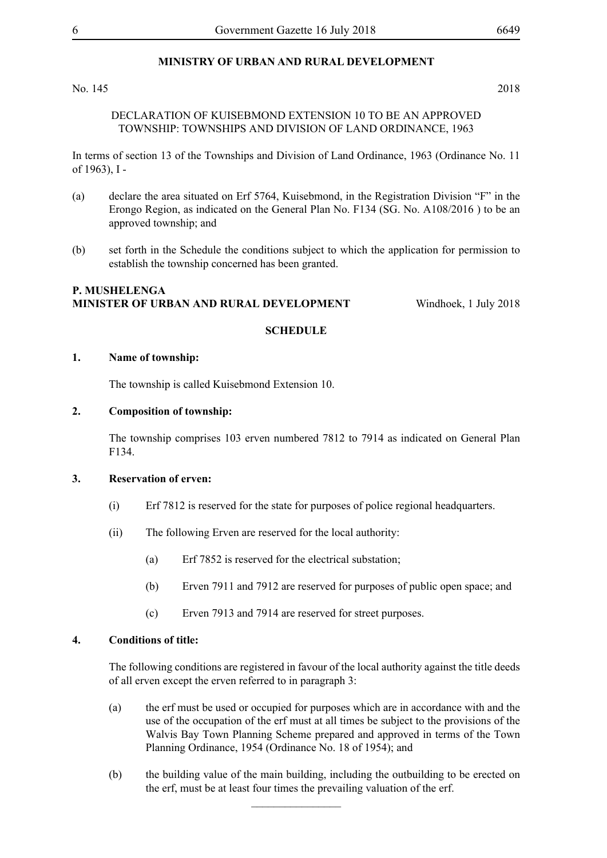No. 145 2018

#### DECLARATION OF KUISEBMOND EXTENSION 10 TO BE AN APPROVED TOWNSHIP: TOWNSHIPS AND DIVISION OF LAND ORDINANCE, 1963

In terms of section 13 of the Townships and Division of Land Ordinance, 1963 (Ordinance No. 11 of 1963), I -

- (a) declare the area situated on Erf 5764, Kuisebmond, in the Registration Division "F" in the Erongo Region, as indicated on the General Plan No. F134 (SG. No. A108/2016 ) to be an approved township; and
- (b) set forth in the Schedule the conditions subject to which the application for permission to establish the township concerned has been granted.

#### **P. MUSHELENGA MINISTER OF URBAN AND RURAL DEVELOPMENT** Windhoek, 1 July 2018

#### **SCHEDULE**

#### **1. Name of township:**

The township is called Kuisebmond Extension 10.

#### **2. Composition of township:**

The township comprises 103 erven numbered 7812 to 7914 as indicated on General Plan F134.

#### **3. Reservation of erven:**

- (i) Erf 7812 is reserved for the state for purposes of police regional headquarters.
- (ii) The following Erven are reserved for the local authority:
	- (a) Erf 7852 is reserved for the electrical substation;
	- (b) Erven 7911 and 7912 are reserved for purposes of public open space; and
	- (c) Erven 7913 and 7914 are reserved for street purposes.

#### **4. Conditions of title:**

The following conditions are registered in favour of the local authority against the title deeds of all erven except the erven referred to in paragraph 3:

- (a) the erf must be used or occupied for purposes which are in accordance with and the use of the occupation of the erf must at all times be subject to the provisions of the Walvis Bay Town Planning Scheme prepared and approved in terms of the Town Planning Ordinance, 1954 (Ordinance No. 18 of 1954); and
- (b) the building value of the main building, including the outbuilding to be erected on the erf, must be at least four times the prevailing valuation of the erf.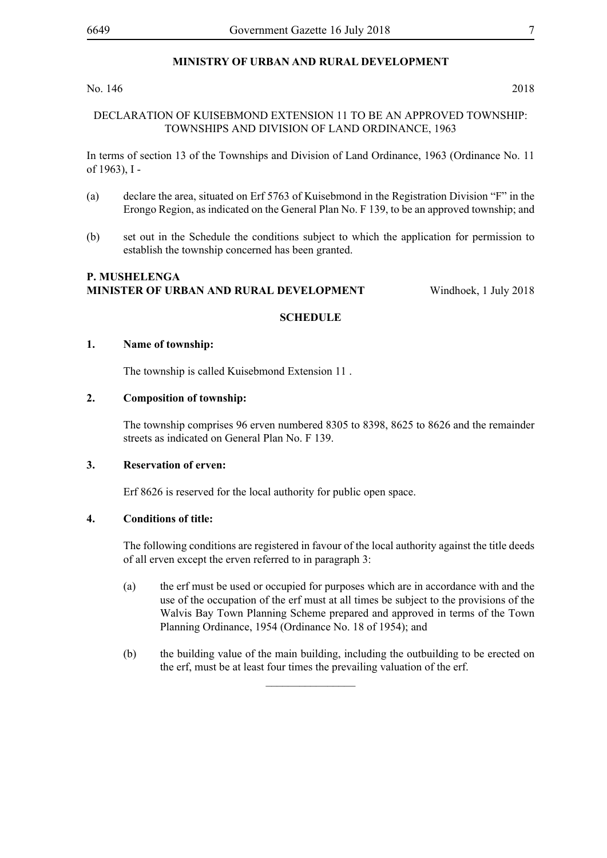#### No. 146 2018

#### DECLARATION OF KUISEBMOND EXTENSION 11 TO BE AN APPROVED TOWNSHIP: TOWNSHIPS AND DIVISION OF LAND ORDINANCE, 1963

In terms of section 13 of the Townships and Division of Land Ordinance, 1963 (Ordinance No. 11 of 1963), I -

- (a) declare the area, situated on Erf 5763 of Kuisebmond in the Registration Division "F" in the Erongo Region, as indicated on the General Plan No. F 139, to be an approved township; and
- (b) set out in the Schedule the conditions subject to which the application for permission to establish the township concerned has been granted.

#### **P. MUSHELENGA MINISTER OF URBAN AND RURAL DEVELOPMENT** Windhoek, 1 July 2018

#### **SCHEDULE**

#### **1. Name of township:**

The township is called Kuisebmond Extension 11 .

#### **2. Composition of township:**

The township comprises 96 erven numbered 8305 to 8398, 8625 to 8626 and the remainder streets as indicated on General Plan No. F 139.

#### **3. Reservation of erven:**

Erf 8626 is reserved for the local authority for public open space.

#### **4. Conditions of title:**

The following conditions are registered in favour of the local authority against the title deeds of all erven except the erven referred to in paragraph 3:

- (a) the erf must be used or occupied for purposes which are in accordance with and the use of the occupation of the erf must at all times be subject to the provisions of the Walvis Bay Town Planning Scheme prepared and approved in terms of the Town Planning Ordinance, 1954 (Ordinance No. 18 of 1954); and
- (b) the building value of the main building, including the outbuilding to be erected on the erf, must be at least four times the prevailing valuation of the erf.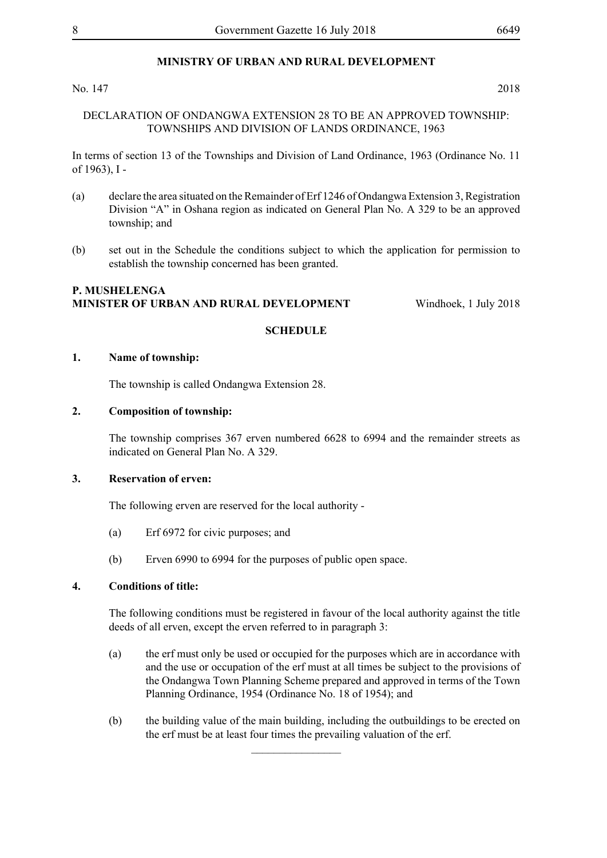No. 147 2018

#### DECLARATION OF ONDANGWA EXTENSION 28 TO BE AN APPROVED TOWNSHIP: TOWNSHIPS AND DIVISION OF LANDS ORDINANCE, 1963

In terms of section 13 of the Townships and Division of Land Ordinance, 1963 (Ordinance No. 11 of 1963), I -

- (a) declare the area situated on the Remainder of Erf 1246 of Ondangwa Extension 3, Registration Division "A" in Oshana region as indicated on General Plan No. A 329 to be an approved township; and
- (b) set out in the Schedule the conditions subject to which the application for permission to establish the township concerned has been granted.

#### **P. MUSHELENGA MINISTER OF URBAN AND RURAL DEVELOPMENT** Windhoek, 1 July 2018

#### **SCHEDULE**

#### **1. Name of township:**

The township is called Ondangwa Extension 28.

#### **2. Composition of township:**

The township comprises 367 erven numbered 6628 to 6994 and the remainder streets as indicated on General Plan No. A 329.

#### **3. Reservation of erven:**

The following erven are reserved for the local authority -

- (a) Erf 6972 for civic purposes; and
- (b) Erven 6990 to 6994 for the purposes of public open space.

#### **4. Conditions of title:**

The following conditions must be registered in favour of the local authority against the title deeds of all erven, except the erven referred to in paragraph 3:

- (a) the erf must only be used or occupied for the purposes which are in accordance with and the use or occupation of the erf must at all times be subject to the provisions of the Ondangwa Town Planning Scheme prepared and approved in terms of the Town Planning Ordinance, 1954 (Ordinance No. 18 of 1954); and
- (b) the building value of the main building, including the outbuildings to be erected on the erf must be at least four times the prevailing valuation of the erf.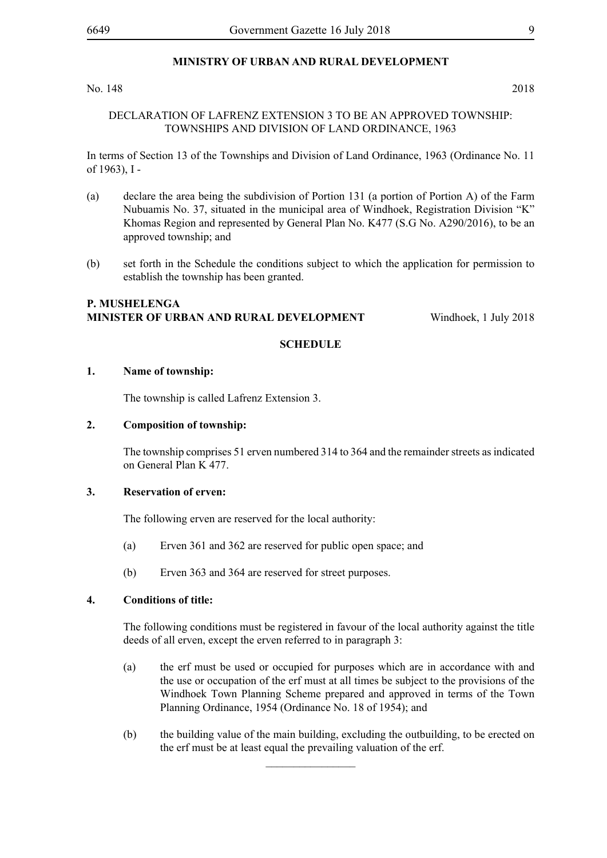#### No. 148 2018

#### DECLARATION OF LAFRENZ EXTENSION 3 TO BE AN APPROVED TOWNSHIP: TOWNSHIPS AND DIVISION OF LAND ORDINANCE, 1963

In terms of Section 13 of the Townships and Division of Land Ordinance, 1963 (Ordinance No. 11 of 1963), I -

- (a) declare the area being the subdivision of Portion 131 (a portion of Portion A) of the Farm Nubuamis No. 37, situated in the municipal area of Windhoek, Registration Division "K" Khomas Region and represented by General Plan No. K477 (S.G No. A290/2016), to be an approved township; and
- (b) set forth in the Schedule the conditions subject to which the application for permission to establish the township has been granted.

#### **P. Mushelenga Minister of Urban and Rural Development** Windhoek, 1 July 2018

#### **SCHEDULE**

#### **1. Name of township:**

The township is called Lafrenz Extension 3.

#### **2. Composition of township:**

The township comprises 51 erven numbered 314 to 364 and the remainder streets as indicated on General Plan K 477.

#### **3. Reservation of erven:**

The following erven are reserved for the local authority:

- (a) Erven 361 and 362 are reserved for public open space; and
- (b) Erven 363 and 364 are reserved for street purposes.

#### **4. Conditions of title:**

The following conditions must be registered in favour of the local authority against the title deeds of all erven, except the erven referred to in paragraph 3:

- (a) the erf must be used or occupied for purposes which are in accordance with and the use or occupation of the erf must at all times be subject to the provisions of the Windhoek Town Planning Scheme prepared and approved in terms of the Town Planning Ordinance, 1954 (Ordinance No. 18 of 1954); and
- (b) the building value of the main building, excluding the outbuilding, to be erected on the erf must be at least equal the prevailing valuation of the erf.

 $\overline{\phantom{a}}$  , where  $\overline{\phantom{a}}$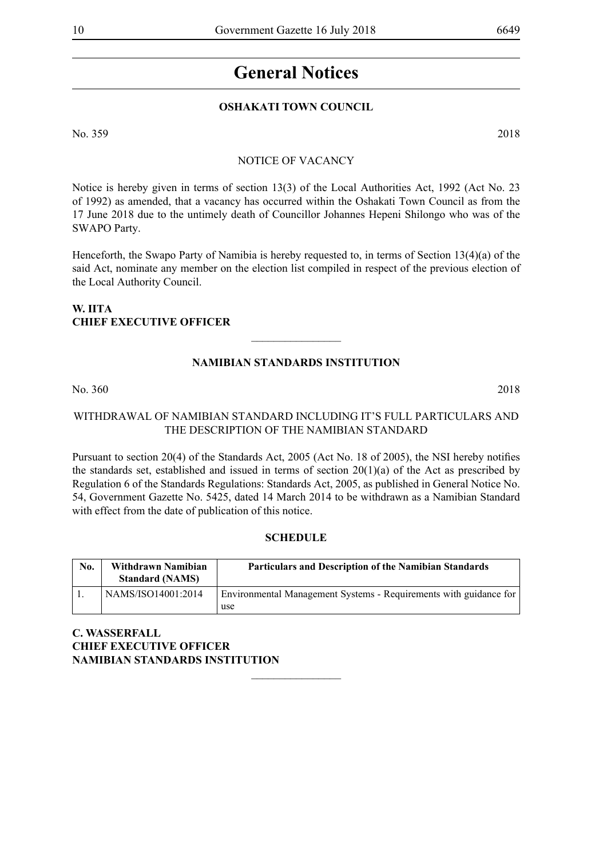## **General Notices**

#### **OSHAKATI TOWN COUNCIL**

No. 359 2018

#### NOTICE OF VACANCY

Notice is hereby given in terms of section 13(3) of the Local Authorities Act, 1992 (Act No. 23 of 1992) as amended, that a vacancy has occurred within the Oshakati Town Council as from the 17 June 2018 due to the untimely death of Councillor Johannes Hepeni Shilongo who was of the SWAPO Party.

Henceforth, the Swapo Party of Namibia is hereby requested to, in terms of Section 13(4)(a) of the said Act, nominate any member on the election list compiled in respect of the previous election of the Local Authority Council.

#### **W. Iita CHIEF EXECUTIVE OFFICER**

### **NAMIBIAN STANDARDS INSTITUTION**

 $\frac{1}{2}$ 

No. 360 2018

#### WITHDRAWAL OF NAMIBIAN STANDARD INCLUDING IT'S FULL PARTICULARS AND THE DESCRIPTION OF THE NAMIBIAN STANDARD

Pursuant to section 20(4) of the Standards Act, 2005 (Act No. 18 of 2005), the NSI hereby notifies the standards set, established and issued in terms of section 20(1)(a) of the Act as prescribed by Regulation 6 of the Standards Regulations: Standards Act, 2005, as published in General Notice No. 54, Government Gazette No. 5425, dated 14 March 2014 to be withdrawn as a Namibian Standard with effect from the date of publication of this notice.

#### **SCHEDULE**

| No. | Withdrawn Namibian<br><b>Standard (NAMS)</b> | <b>Particulars and Description of the Namibian Standards</b>             |
|-----|----------------------------------------------|--------------------------------------------------------------------------|
|     | NAMS/ISO14001:2014                           | Environmental Management Systems - Requirements with guidance for<br>use |

 $\frac{1}{2}$ 

**C. WASSERFALL CHIEF EXECUTIVE OFFICER NAMIBIAN STANDARDS INSTITUTION**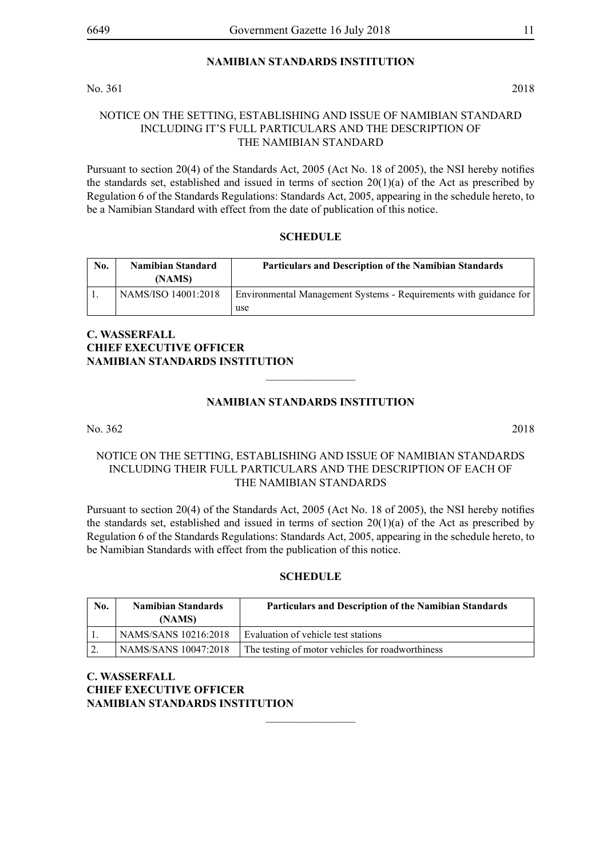#### **NAMIBIAN STANDARDS INSTITUTION**

No. 361 2018

#### NOTICE ON THE SETTING, ESTABLISHING AND ISSUE OF NAMIBIAN STANDARD INCLUDING IT'S FULL PARTICULARS AND THE DESCRIPTION OF THE NAMIBIAN STANDARD

Pursuant to section 20(4) of the Standards Act, 2005 (Act No. 18 of 2005), the NSI hereby notifies the standards set, established and issued in terms of section  $20(1)(a)$  of the Act as prescribed by Regulation 6 of the Standards Regulations: Standards Act, 2005, appearing in the schedule hereto, to be a Namibian Standard with effect from the date of publication of this notice.

#### **SCHEDULE**

| No. | <b>Namibian Standard</b><br>(NAMS) | <b>Particulars and Description of the Namibian Standards</b>             |
|-----|------------------------------------|--------------------------------------------------------------------------|
|     | NAMS/ISO 14001:2018                | Environmental Management Systems - Requirements with guidance for<br>use |

#### **C. WASSERFALL CHIEF EXECUTIVE OFFICER NAMIBIAN STANDARDS INSTITUTION**

#### **NAMIBIAN STANDARDS INSTITUTION**

 $\overline{\phantom{a}}$  , where  $\overline{\phantom{a}}$ 

No. 362 2018

#### NOTICE ON THE SETTING, ESTABLISHING AND ISSUE OF NAMIBIAN STANDARDS INCLUDING THEIR FULL PARTICULARS AND THE DESCRIPTION OF EACH OF THE NAMIBIAN STANDARDS

Pursuant to section 20(4) of the Standards Act, 2005 (Act No. 18 of 2005), the NSI hereby notifies the standards set, established and issued in terms of section  $20(1)(a)$  of the Act as prescribed by Regulation 6 of the Standards Regulations: Standards Act, 2005, appearing in the schedule hereto, to be Namibian Standards with effect from the publication of this notice.

#### **SCHEDULE**

| No. | <b>Namibian Standards</b><br>(NAMS) | <b>Particulars and Description of the Namibian Standards</b> |
|-----|-------------------------------------|--------------------------------------------------------------|
|     | NAMS/SANS 10216:2018                | Evaluation of vehicle test stations                          |
|     | NAMS/SANS 10047:2018                | The testing of motor vehicles for roadworthiness             |

 $\overline{\phantom{a}}$  , where  $\overline{\phantom{a}}$ 

**C. WASSERFALL CHIEF EXECUTIVE OFFICER NAMIBIAN STANDARDS INSTITUTION**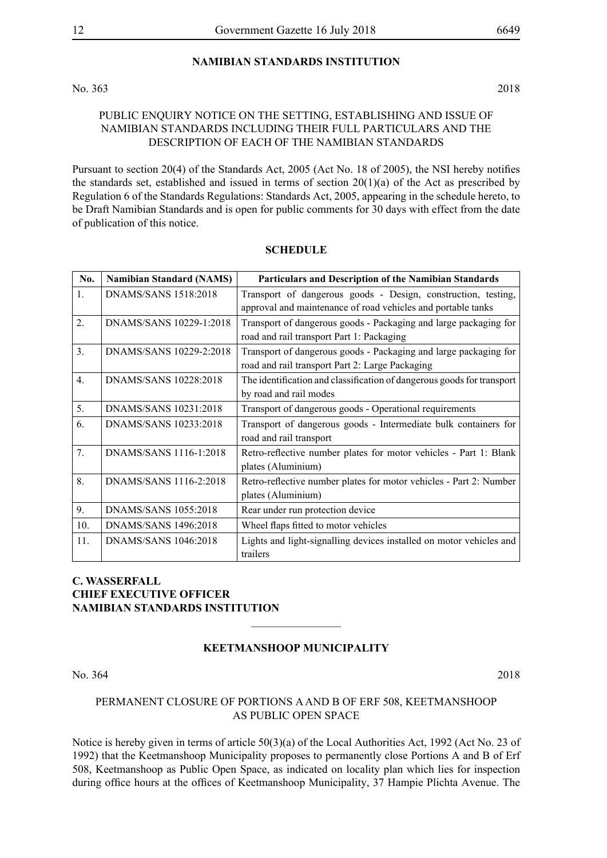#### **NAMIBIAN STANDARDS INSTITUTION**

No. 363 2018

PUBLIC ENQUIRY NOTICE ON THE SETTING, ESTABLISHING AND ISSUE OF NAMIBIAN STANDARDS INCLUDING THEIR FULL PARTICULARS AND THE DESCRIPTION OF EACH OF THE NAMIBIAN STANDARDS

Pursuant to section 20(4) of the Standards Act, 2005 (Act No. 18 of 2005), the NSI hereby notifies the standards set, established and issued in terms of section  $20(1)(a)$  of the Act as prescribed by Regulation 6 of the Standards Regulations: Standards Act, 2005, appearing in the schedule hereto, to be Draft Namibian Standards and is open for public comments for 30 days with effect from the date of publication of this notice.

| No.              | <b>Namibian Standard (NAMS)</b> | Particulars and Description of the Namibian Standards                                                                         |
|------------------|---------------------------------|-------------------------------------------------------------------------------------------------------------------------------|
| $\mathbf{1}$ .   | DNAMS/SANS 1518:2018            | Transport of dangerous goods - Design, construction, testing,<br>approval and maintenance of road vehicles and portable tanks |
| 2.               | DNAMS/SANS 10229-1:2018         | Transport of dangerous goods - Packaging and large packaging for<br>road and rail transport Part 1: Packaging                 |
| 3 <sub>1</sub>   | DNAMS/SANS 10229-2:2018         | Transport of dangerous goods - Packaging and large packaging for<br>road and rail transport Part 2: Large Packaging           |
| $\overline{4}$ . | DNAMS/SANS 10228:2018           | The identification and classification of dangerous goods for transport<br>by road and rail modes                              |
| 5.               | DNAMS/SANS 10231:2018           | Transport of dangerous goods - Operational requirements                                                                       |
| 6.               | DNAMS/SANS 10233:2018           | Transport of dangerous goods - Intermediate bulk containers for<br>road and rail transport                                    |
| 7.               | DNAMS/SANS 1116-1:2018          | Retro-reflective number plates for motor vehicles - Part 1: Blank<br>plates (Aluminium)                                       |
| 8.               | DNAMS/SANS 1116-2:2018          | Retro-reflective number plates for motor vehicles - Part 2: Number<br>plates (Aluminium)                                      |
| 9.               | DNAMS/SANS 1055:2018            | Rear under run protection device                                                                                              |
| 10.              | DNAMS/SANS 1496:2018            | Wheel flaps fitted to motor vehicles                                                                                          |
| 11.              | DNAMS/SANS 1046:2018            | Lights and light-signalling devices installed on motor vehicles and<br>trailers                                               |

#### **SCHEDULE**

#### **C. WASSERFALL CHIEF EXECUTIVE OFFICER NAMIBIAN STANDARDS INSTITUTION**

#### **Keetmanshoop Municipality**

 $\overline{\phantom{a}}$  , where  $\overline{\phantom{a}}$ 

No. 364 2018

#### PERMANENT CLOSURE OF PORTIONS A AND B OF ERF 508, KEETMANSHOOP AS PUBLIC OPEN SPACE

Notice is hereby given in terms of article 50(3)(a) of the Local Authorities Act, 1992 (Act No. 23 of 1992) that the Keetmanshoop Municipality proposes to permanently close Portions A and B of Erf 508, Keetmanshoop as Public Open Space, as indicated on locality plan which lies for inspection during office hours at the offices of Keetmanshoop Municipality, 37 Hampie Plichta Avenue. The